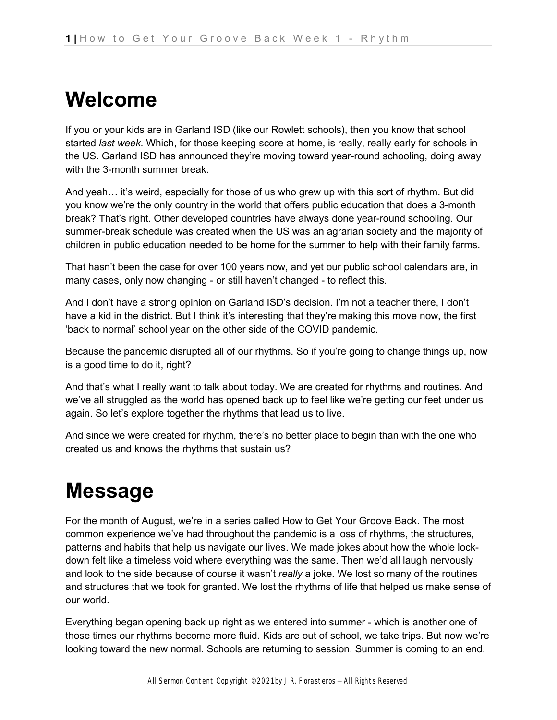### **Welcome**

If you or your kids are in Garland ISD (like our Rowlett schools), then you know that school started *last week*. Which, for those keeping score at home, is really, really early for schools in the US. Garland ISD has announced they're moving toward year-round schooling, doing away with the 3-month summer break.

And yeah... it's weird, especially for those of us who grew up with this sort of rhythm. But did you know we're the only country in the world that offers public education that does a 3-month break? That's right. Other developed countries have always done year-round schooling. Our summer-break schedule was created when the US was an agrarian society and the majority of children in public education needed to be home for the summer to help with their family farms.

That hasn't been the case for over 100 years now, and yet our public school calendars are, in many cases, only now changing - or still haven't changed - to reflect this.

And I don't have a strong opinion on Garland ISD's decision. I'm not a teacher there, I don't have a kid in the district. But I think it's interesting that they're making this move now, the first 'back to normal' school year on the other side of the COVID pandemic.

Because the pandemic disrupted all of our rhythms. So if you're going to change things up, now is a good time to do it, right?

And that's what I really want to talk about today. We are created for rhythms and routines. And we've all struggled as the world has opened back up to feel like we're getting our feet under us again. So let's explore together the rhythms that lead us to live.

And since we were created for rhythm, there's no better place to begin than with the one who created us and knows the rhythms that sustain us?

# **Message**

For the month of August, we're in a series called How to Get Your Groove Back. The most common experience we've had throughout the pandemic is a loss of rhythms, the structures, patterns and habits that help us navigate our lives. We made jokes about how the whole lockdown felt like a timeless void where everything was the same. Then we'd all laugh nervously and look to the side because of course it wasn't *really* a joke. We lost so many of the routines and structures that we took for granted. We lost the rhythms of life that helped us make sense of our world.

Everything began opening back up right as we entered into summer - which is another one of those times our rhythms become more fluid. Kids are out of school, we take trips. But now we're looking toward the new normal. Schools are returning to session. Summer is coming to an end.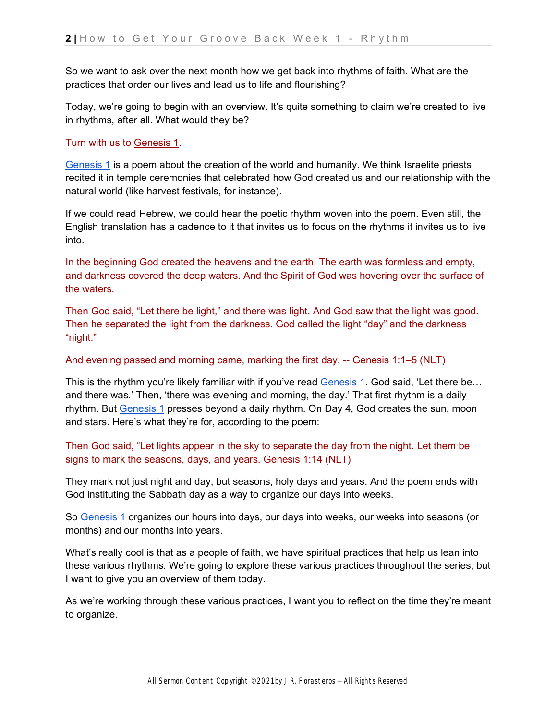So we want to ask over the next month how we get back into rhythms of faith. What are the practices that order our lives and lead us to life and flourishing?

Today, we're going to begin with an overview. It's quite something to claim we're created to live in rhythms, after all. What would they be?

#### Turn with us t[o](https://ref.ly/logosref/bible.1.1) [Genesis 1.](https://ref.ly/logosref/bible.1.1)

[Genesis 1](https://ref.ly/logosref/bible.1.1) is a poem about the creation of the world and humanity. We think Israelite priests recited it in temple ceremonies that celebrated how God created us and our relationship with the natural world (like harvest festivals, for instance).

If we could read Hebrew, we could hear the poetic rhythm woven into the poem. Even still, the English translation has a cadence to it that invites us to focus on the rhythms it invites us to live into.

In the beginning God created the heavens and the earth. The earth was formless and empty, and darkness covered the deep waters. And the Spirit of God was hovering over the surface of the waters.

Then God said, "Let there be light," and there was light. And God saw that the light was good. Then he separated the light from the darkness. God called the light "day" and the darkness "night."

#### And evening passed and morning came, marking the first day. -- Genesis 1:1–5 (NLT)

This is the rhythm you're likely familiar with if you've rea[d](https://ref.ly/logosref/bible.1.1) [Genesis 1.](https://ref.ly/logosref/bible.1.1) God said, 'Let there be... and there was.' Then, 'there was evening and morning, the day.' That first rhythm is a daily rhythm. But [Genesis 1](https://ref.ly/logosref/bible.1.1) presses beyond a daily rhythm. On Day 4, God creates the sun, moon and stars. Here's what they're for, according to the poem:

### Then God said, "Let lights appear in the sky to separate the day from the night. Let them be signs to mark the seasons, days, and years. Genesis 1:14 (NLT)

They mark not just night and day, but seasons, holy days and years. And the poem ends with God instituting the Sabbath day as a way to organize our days into weeks.

S[o](https://ref.ly/logosref/bible.1.1) [Genesis 1](https://ref.ly/logosref/bible.1.1) organizes our hours into days, our days into weeks, our weeks into seasons (or months) and our months into years.

What's really cool is that as a people of faith, we have spiritual practices that help us lean into these various rhythms. We're going to explore these various practices throughout the series, but I want to give you an overview of them today.

As we're working through these various practices, I want you to reflect on the time they're meant to organize.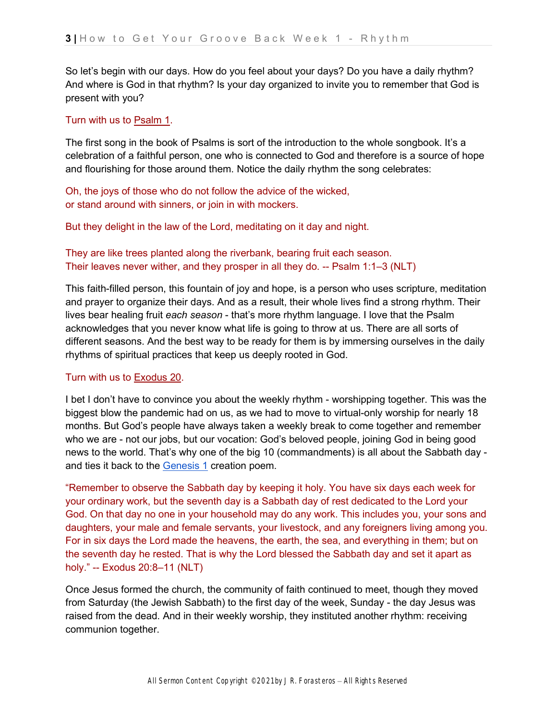So let's begin with our days. How do you feel about your days? Do you have a daily rhythm? And where is God in that rhythm? Is your day organized to invite you to remember that God is present with you?

#### Turn with us t[o](https://ref.ly/logosref/bible.19.1) [Psalm 1.](https://ref.ly/logosref/bible.19.1)

The first song in the book of Psalms is sort of the introduction to the whole songbook. It's a celebration of a faithful person, one who is connected to God and therefore is a source of hope and flourishing for those around them. Notice the daily rhythm the song celebrates:

Oh, the joys of those who do not follow the advice of the wicked, or stand around with sinners, or join in with mockers.

But they delight in the law of the Lord, meditating on it day and night.

They are like trees planted along the riverbank, bearing fruit each season. Their leaves never wither, and they prosper in all they do. -- Psalm 1:1–3 (NLT)

This faith-filled person, this fountain of joy and hope, is a person who uses scripture, meditation and prayer to organize their days. And as a result, their whole lives find a strong rhythm. Their lives bear healing fruit *each season* - that's more rhythm language. I love that the Psalm acknowledges that you never know what life is going to throw at us. There are all sorts of different seasons. And the best way to be ready for them is by immersing ourselves in the daily rhythms of spiritual practices that keep us deeply rooted in God.

#### Turn with us t[o](https://ref.ly/logosref/bible.2.20) [Exodus 20.](https://ref.ly/logosref/bible.2.20)

I bet I don't have to convince you about the weekly rhythm - worshipping together. This was the biggest blow the pandemic had on us, as we had to move to virtual-only worship for nearly 18 months. But God's people have always taken a weekly break to come together and remember who we are - not our jobs, but our vocation: God's beloved people, joining God in being good news to the world. That's why one of the big 10 (commandments) is all about the Sabbath day and ties it back to th[e](https://ref.ly/logosref/bible.1.1) [Genesis 1](https://ref.ly/logosref/bible.1.1) creation poem.

"Remember to observe the Sabbath day by keeping it holy. You have six days each week for your ordinary work, but the seventh day is a Sabbath day of rest dedicated to the Lord your God. On that day no one in your household may do any work. This includes you, your sons and daughters, your male and female servants, your livestock, and any foreigners living among you. For in six days the Lord made the heavens, the earth, the sea, and everything in them; but on the seventh day he rested. That is why the Lord blessed the Sabbath day and set it apart as holy." -- Exodus 20:8–11 (NLT)

Once Jesus formed the church, the community of faith continued to meet, though they moved from Saturday (the Jewish Sabbath) to the first day of the week, Sunday - the day Jesus was raised from the dead. And in their weekly worship, they instituted another rhythm: receiving communion together.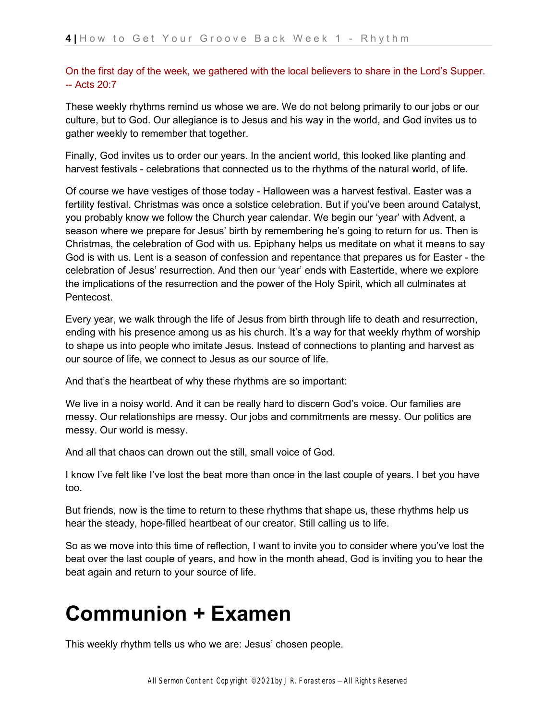### On the first day of the week, we gathered with the local believers to share in the Lord's Supper.  $-$  Acts  $20.7$

These weekly rhythms remind us whose we are. We do not belong primarily to our jobs or our culture, but to God. Our allegiance is to Jesus and his way in the world, and God invites us to gather weekly to remember that together.

Finally, God invites us to order our years. In the ancient world, this looked like planting and harvest festivals - celebrations that connected us to the rhythms of the natural world, of life.

Of course we have vestiges of those today - Halloween was a harvest festival. Easter was a fertility festival. Christmas was once a solstice celebration. But if you've been around Catalyst, you probably know we follow the Church year calendar. We begin our 'year' with Advent, a season where we prepare for Jesus' birth by remembering he's going to return for us. Then is Christmas, the celebration of God with us. Epiphany helps us meditate on what it means to say God is with us. Lent is a season of confession and repentance that prepares us for Easter - the celebration of Jesus' resurrection. And then our 'year' ends with Eastertide, where we explore the implications of the resurrection and the power of the Holy Spirit, which all culminates at Pentecost.

Every year, we walk through the life of Jesus from birth through life to death and resurrection, ending with his presence among us as his church. It's a way for that weekly rhythm of worship to shape us into people who imitate Jesus. Instead of connections to planting and harvest as our source of life, we connect to Jesus as our source of life.

And that's the heartbeat of why these rhythms are so important:

We live in a noisy world. And it can be really hard to discern God's voice. Our families are messy. Our relationships are messy. Our jobs and commitments are messy. Our politics are messy. Our world is messy.

And all that chaos can drown out the still, small voice of God.

I know I've felt like I've lost the beat more than once in the last couple of years. I bet you have too.

But friends, now is the time to return to these rhythms that shape us, these rhythms help us hear the steady, hope-filled heartbeat of our creator. Still calling us to life.

So as we move into this time of reflection, I want to invite you to consider where you've lost the beat over the last couple of years, and how in the month ahead, God is inviting you to hear the beat again and return to your source of life.

## **Communion + Examen**

This weekly rhythm tells us who we are: Jesus' chosen people.